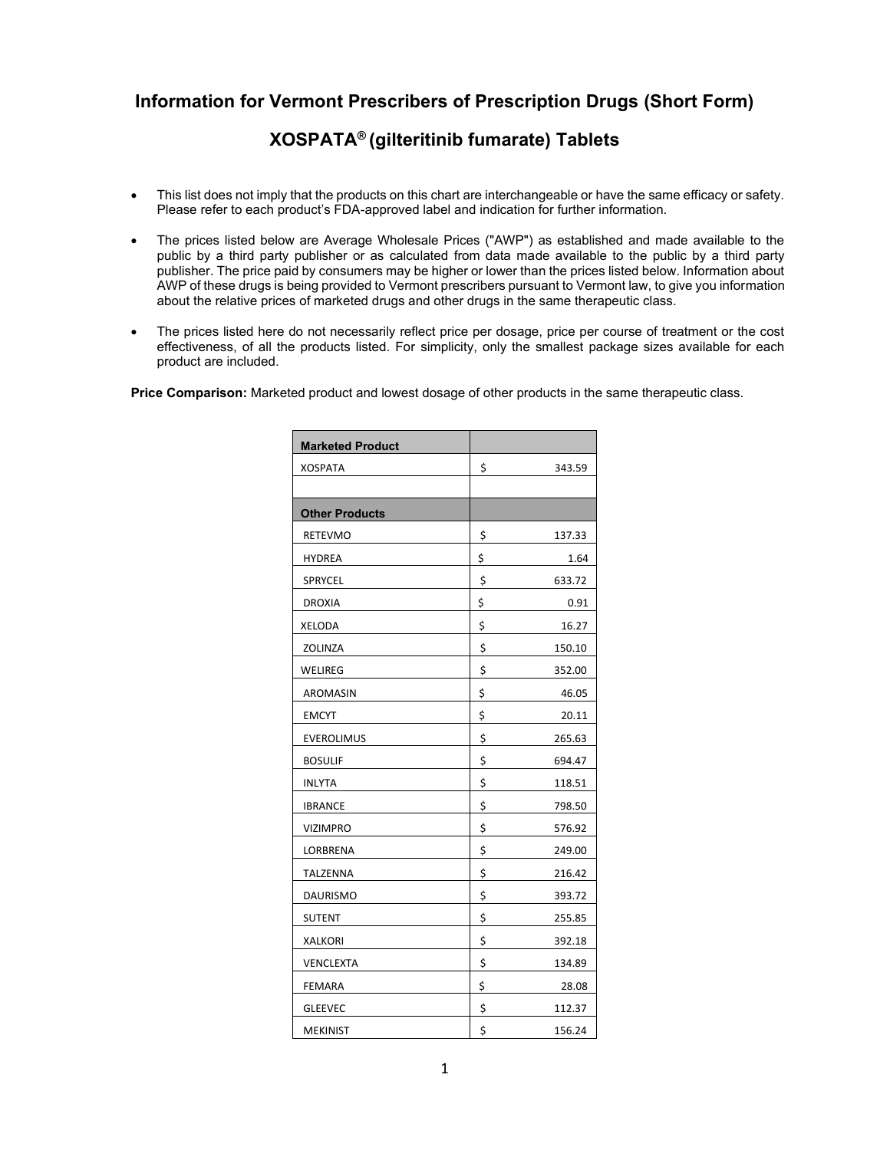## **Information for Vermont Prescribers of Prescription Drugs (Short Form)**

## **XOSPATA® (gilteritinib fumarate) Tablets**

- This list does not imply that the products on this chart are interchangeable or have the same efficacy or safety. Please refer to each product's FDA-approved label and indication for further information.
- The prices listed below are Average Wholesale Prices ("AWP") as established and made available to the public by a third party publisher or as calculated from data made available to the public by a third party publisher. The price paid by consumers may be higher or lower than the prices listed below. Information about AWP of these drugs is being provided to Vermont prescribers pursuant to Vermont law, to give you information about the relative prices of marketed drugs and other drugs in the same therapeutic class.
- The prices listed here do not necessarily reflect price per dosage, price per course of treatment or the cost effectiveness, of all the products listed. For simplicity, only the smallest package sizes available for each product are included.

**Price Comparison:** Marketed product and lowest dosage of other products in the same therapeutic class.

| <b>Marketed Product</b> |              |
|-------------------------|--------------|
| <b>XOSPATA</b>          | \$<br>343.59 |
|                         |              |
| <b>Other Products</b>   |              |
| RETEVMO                 | \$<br>137.33 |
| <b>HYDREA</b>           | \$<br>1.64   |
| SPRYCEL                 | \$<br>633.72 |
| <b>DROXIA</b>           | \$<br>0.91   |
| XELODA                  | \$<br>16.27  |
| ZOLINZA                 | \$<br>150.10 |
| WELIREG                 | \$<br>352.00 |
| AROMASIN                | \$<br>46.05  |
| EMCYT                   | \$<br>20.11  |
| <b>EVEROLIMUS</b>       | \$<br>265.63 |
| <b>BOSULIF</b>          | \$<br>694.47 |
| <b>INLYTA</b>           | \$<br>118.51 |
| <b>IBRANCE</b>          | \$<br>798.50 |
| <b>VIZIMPRO</b>         | \$<br>576.92 |
| LORBRENA                | \$<br>249.00 |
| TALZENNA                | \$<br>216.42 |
| <b>DAURISMO</b>         | \$<br>393.72 |
| SUTENT                  | \$<br>255.85 |
| <b>XALKORI</b>          | \$<br>392.18 |
| VENCLEXTA               | \$<br>134.89 |
| FEMARA                  | \$<br>28.08  |
| <b>GLEEVEC</b>          | \$<br>112.37 |
| <b>MEKINIST</b>         | \$<br>156.24 |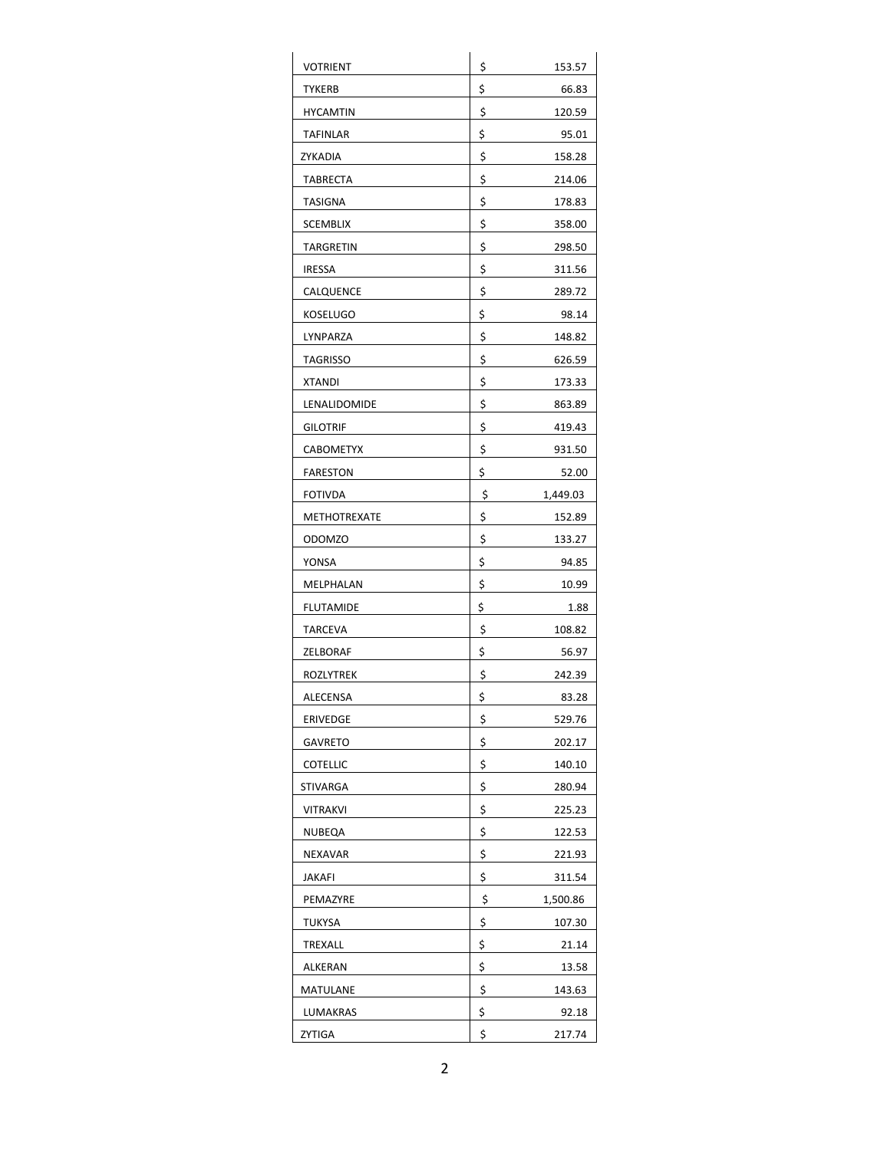| VOTRIENT            | \$<br>153.57   |
|---------------------|----------------|
| <b>TYKERB</b>       | \$<br>66.83    |
| <b>HYCAMTIN</b>     | \$<br>120.59   |
| TAFINLAR            | \$<br>95.01    |
| ZYKADIA             | \$<br>158.28   |
| <b>TABRECTA</b>     | \$<br>214.06   |
| <b>TASIGNA</b>      | \$<br>178.83   |
| <b>SCEMBLIX</b>     | \$<br>358.00   |
| TARGRETIN           | \$<br>298.50   |
| <b>IRESSA</b>       | \$<br>311.56   |
| CALQUENCE           | \$<br>289.72   |
| KOSELUGO            | \$<br>98.14    |
| LYNPARZA            | \$<br>148.82   |
| <b>TAGRISSO</b>     | \$<br>626.59   |
| <b>XTANDI</b>       | \$<br>173.33   |
| LENALIDOMIDE        | \$<br>863.89   |
| <b>GILOTRIF</b>     | \$<br>419.43   |
| CABOMETYX           | \$<br>931.50   |
| FARESTON            | \$<br>52.00    |
| <b>FOTIVDA</b>      | \$<br>1,449.03 |
| <b>METHOTREXATE</b> | \$<br>152.89   |
| ODOMZO              | \$<br>133.27   |
| YONSA               | \$<br>94.85    |
| MELPHALAN           | \$<br>10.99    |
| <b>FLUTAMIDE</b>    | \$<br>1.88     |
| <b>TARCEVA</b>      | \$<br>108.82   |
| ZELBORAF            | \$<br>56.97    |
| ROZLYTREK           | \$<br>242.39   |
| ALECENSA            | \$<br>83.28    |
| <b>ERIVEDGE</b>     | \$<br>529.76   |
| <b>GAVRETO</b>      | \$<br>202.17   |
| <b>COTELLIC</b>     | \$<br>140.10   |
| STIVARGA            | \$<br>280.94   |
| VITRAKVI            | \$<br>225.23   |
| NUBEQA              | \$<br>122.53   |
| NEXAVAR             | \$<br>221.93   |
| JAKAFI              | \$<br>311.54   |
| PEMAZYRE            | \$<br>1,500.86 |
| TUKYSA              | \$<br>107.30   |
| TREXALL             | \$<br>21.14    |
| ALKERAN             | \$<br>13.58    |
| MATULANE            | \$<br>143.63   |
| LUMAKRAS            | \$<br>92.18    |
| ZYTIGA              | \$<br>217.74   |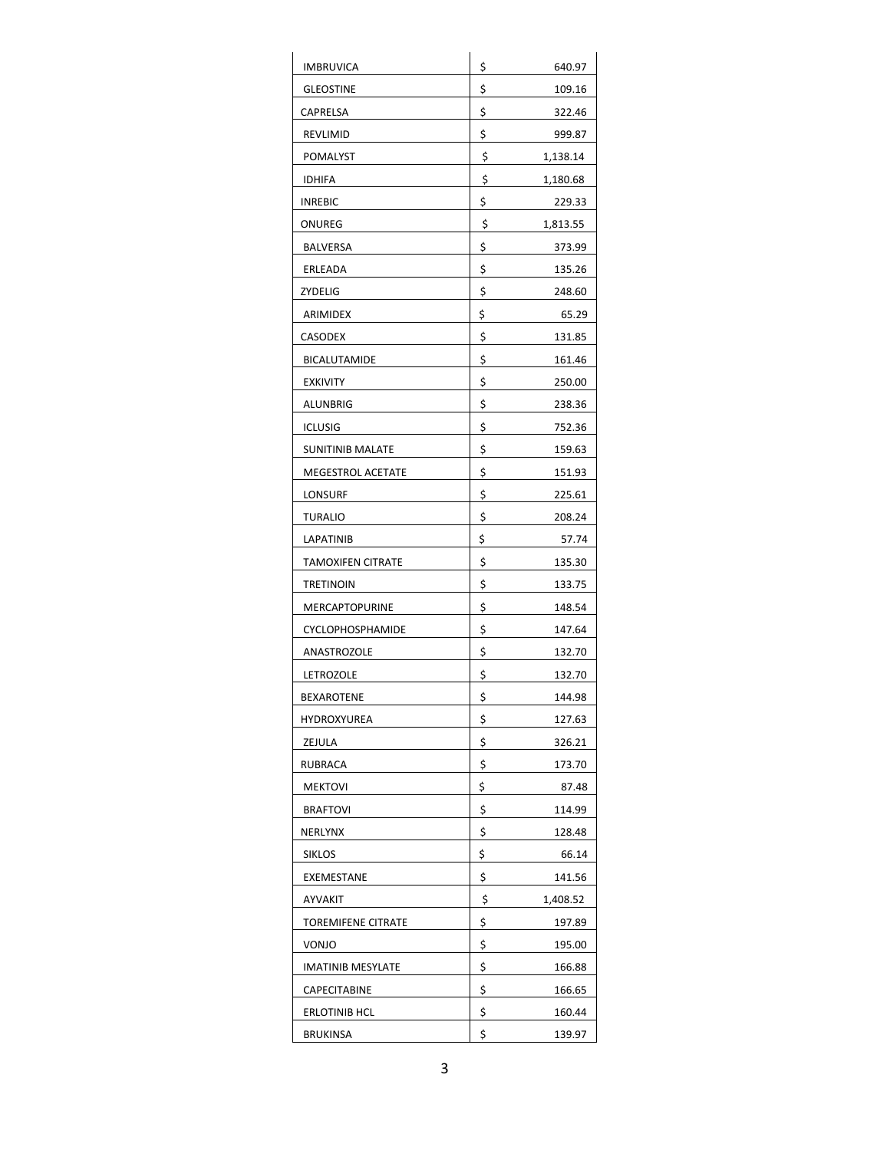| IMBRUVICA                | \$<br>640.97   |
|--------------------------|----------------|
| <b>GLEOSTINE</b>         | \$<br>109.16   |
| CAPRELSA                 | \$<br>322.46   |
| REVLIMID                 | \$<br>999.87   |
| POMALYST                 | \$<br>1,138.14 |
| <b>IDHIFA</b>            | \$<br>1,180.68 |
| INREBIC                  | \$<br>229.33   |
| ONUREG                   | \$<br>1,813.55 |
| <b>BALVERSA</b>          | \$<br>373.99   |
| ERLEADA                  | \$<br>135.26   |
| ZYDELIG                  | \$<br>248.60   |
| ARIMIDEX                 | \$<br>65.29    |
| <b>CASODEX</b>           | \$<br>131.85   |
| <b>BICALUTAMIDE</b>      | \$<br>161.46   |
| <b>EXKIVITY</b>          | \$<br>250.00   |
| ALUNBRIG                 | \$<br>238.36   |
| <b>ICLUSIG</b>           | \$<br>752.36   |
| <b>SUNITINIB MALATE</b>  | \$<br>159.63   |
| MEGESTROL ACETATE        | \$<br>151.93   |
| LONSURF                  | \$<br>225.61   |
| TURALIO                  | \$<br>208.24   |
| LAPATINIB                | \$<br>57.74    |
| <b>TAMOXIFEN CITRATE</b> | \$<br>135.30   |
| TRETINOIN                | \$<br>133.75   |
| <b>MERCAPTOPURINE</b>    | \$<br>148.54   |
| <b>CYCLOPHOSPHAMIDE</b>  | \$<br>147.64   |
| ANASTROZOLE              | \$<br>132.70   |
| LETROZOLE                | \$<br>132.70   |
| <b>BEXAROTENE</b>        | \$<br>144.98   |
| HYDROXYUREA              | \$<br>127.63   |
| ZEJULA                   | \$<br>326.21   |
| RUBRACA                  | \$<br>173.70   |
| <b>MEKTOVI</b>           | \$<br>87.48    |
| <b>BRAFTOVI</b>          | \$<br>114.99   |
| NERLYNX                  | \$<br>128.48   |
| <b>SIKLOS</b>            | \$<br>66.14    |
| EXEMESTANE               | \$<br>141.56   |
| AYVAKIT                  | \$<br>1,408.52 |
| TOREMIFENE CITRATE       | \$<br>197.89   |
| VONJO                    | \$<br>195.00   |
| IMATINIB MESYLATE        | \$<br>166.88   |
| CAPECITABINE             | \$<br>166.65   |
| ERLOTINIB HCL            | \$<br>160.44   |
| <b>BRUKINSA</b>          | \$<br>139.97   |